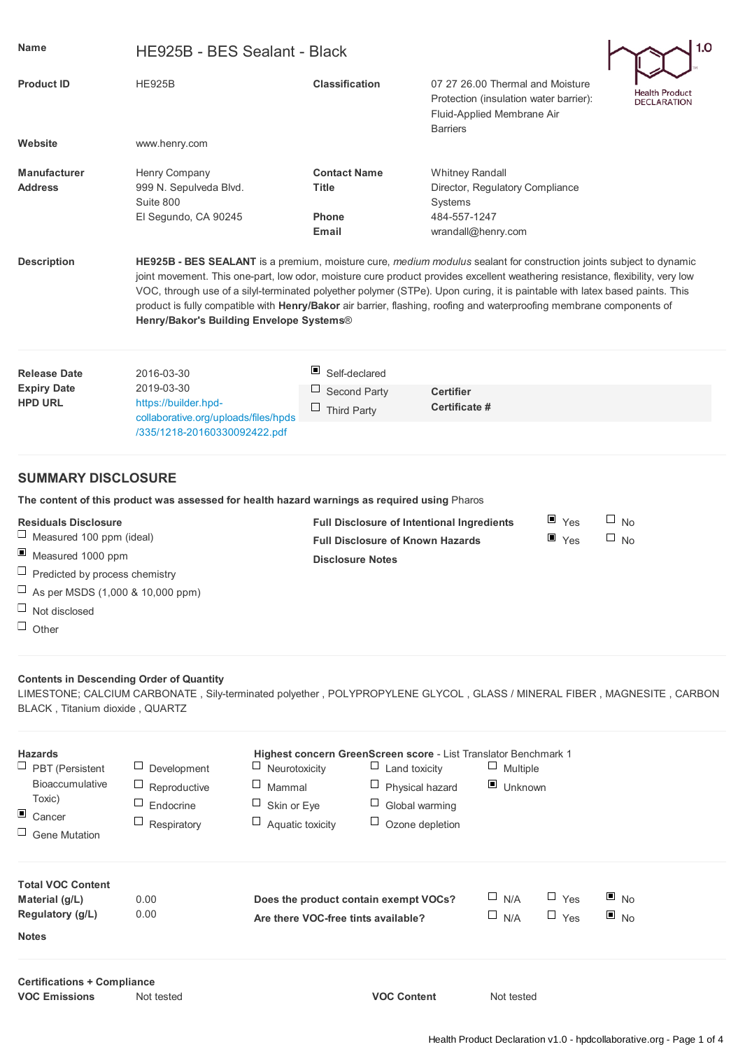| <b>Name</b>                                                                                                                                                                                    | 1.0<br>HE925B - BES Sealant - Black                                                                                                                                                                                                                                                                                                                                                                                                                                                                                                                                    |                                                                                                                         |                                                                                                                             |                                      |  |  |
|------------------------------------------------------------------------------------------------------------------------------------------------------------------------------------------------|------------------------------------------------------------------------------------------------------------------------------------------------------------------------------------------------------------------------------------------------------------------------------------------------------------------------------------------------------------------------------------------------------------------------------------------------------------------------------------------------------------------------------------------------------------------------|-------------------------------------------------------------------------------------------------------------------------|-----------------------------------------------------------------------------------------------------------------------------|--------------------------------------|--|--|
| <b>Product ID</b>                                                                                                                                                                              | <b>HE925B</b>                                                                                                                                                                                                                                                                                                                                                                                                                                                                                                                                                          | <b>Classification</b>                                                                                                   | 07 27 26,00 Thermal and Moisture<br>Protection (insulation water barrier):<br>Fluid-Applied Membrane Air<br><b>Barriers</b> | Health Product<br><b>DECLARATION</b> |  |  |
| Website                                                                                                                                                                                        | www.henry.com                                                                                                                                                                                                                                                                                                                                                                                                                                                                                                                                                          |                                                                                                                         |                                                                                                                             |                                      |  |  |
| <b>Manufacturer</b><br><b>Address</b>                                                                                                                                                          | Henry Company<br>999 N. Sepulveda Blvd.<br>Suite 800<br>El Segundo, CA 90245                                                                                                                                                                                                                                                                                                                                                                                                                                                                                           | <b>Contact Name</b><br><b>Title</b><br><b>Phone</b><br>Email                                                            | <b>Whitney Randall</b><br>Director, Regulatory Compliance<br>Systems<br>484-557-1247<br>wrandall@henry.com                  |                                      |  |  |
| <b>Description</b>                                                                                                                                                                             | <b>HE925B - BES SEALANT</b> is a premium, moisture cure, <i>medium modulus</i> sealant for construction joints subject to dynamic<br>joint movement. This one-part, low odor, moisture cure product provides excellent weathering resistance, flexibility, very low<br>VOC, through use of a silyl-terminated polyether polymer (STPe). Upon curing, it is paintable with latex based paints. This<br>product is fully compatible with Henry/Bakor air barrier, flashing, roofing and waterproofing membrane components of<br>Henry/Bakor's Building Envelope Systems® |                                                                                                                         |                                                                                                                             |                                      |  |  |
| <b>Release Date</b><br><b>Expiry Date</b><br><b>HPD URL</b>                                                                                                                                    | 2016-03-30<br>2019-03-30<br>https://builder.hpd-                                                                                                                                                                                                                                                                                                                                                                                                                                                                                                                       | Self-declared<br>⊔<br>Second Party                                                                                      | <b>Certifier</b>                                                                                                            |                                      |  |  |
|                                                                                                                                                                                                | collaborative.org/uploads/files/hpds<br>/335/1218-20160330092422.pdf                                                                                                                                                                                                                                                                                                                                                                                                                                                                                                   | Ц<br><b>Third Party</b>                                                                                                 | Certificate #                                                                                                               |                                      |  |  |
| <b>SUMMARY DISCLOSURE</b>                                                                                                                                                                      |                                                                                                                                                                                                                                                                                                                                                                                                                                                                                                                                                                        |                                                                                                                         |                                                                                                                             |                                      |  |  |
|                                                                                                                                                                                                | The content of this product was assessed for health hazard warnings as required using Pharos                                                                                                                                                                                                                                                                                                                                                                                                                                                                           |                                                                                                                         |                                                                                                                             |                                      |  |  |
| <b>Residuals Disclosure</b><br>⊔<br>Measured 100 ppm (ideal)<br>ш<br>Measured 1000 ppm<br>$\Box$ Predicted by process chemistry<br>As per MSDS (1,000 & 10,000 ppm)<br>$\Box$<br>Not disclosed |                                                                                                                                                                                                                                                                                                                                                                                                                                                                                                                                                                        | <b>Full Disclosure of Intentional Ingredients</b><br><b>Full Disclosure of Known Hazards</b><br><b>Disclosure Notes</b> | ⊔<br><b>No</b><br>$\Box$ No                                                                                                 |                                      |  |  |

# $\Box$  Other

## **Contents in Descending Order of Quantity**

LIMESTONE; CALCIUM CARBONATE , Sily-terminated polyether , POLYPROPYLENE GLYCOL , GLASS / MINERAL FIBER , MAGNESITE , CARBON BLACK , Titanium dioxide , QUARTZ

| <b>Hazards</b><br>$\Box$ PBT (Persistent<br><b>Bioaccumulative</b><br>Toxic)<br>$\Box$ Cancer<br>$\Box$ Gene Mutation | Development<br>Reproductive<br>Endocrine<br>Respiratory | ப<br>Neurotoxicity<br>⊔<br>Mammal<br>Ц<br>Skin or Eye<br>⊔<br>Aquatic toxicity | <b>Highest concern GreenScreen score - List Translator Benchmark 1</b><br>Land toxicity<br>$\Box$ Physical hazard<br>$\Box$ Global warming<br>$\Box$ Ozone depletion | ц<br>Multiple<br>$\blacksquare$ Unknown |                          |                                        |  |
|-----------------------------------------------------------------------------------------------------------------------|---------------------------------------------------------|--------------------------------------------------------------------------------|----------------------------------------------------------------------------------------------------------------------------------------------------------------------|-----------------------------------------|--------------------------|----------------------------------------|--|
| <b>Total VOC Content</b><br>Material (g/L)<br>Regulatory (g/L)<br><b>Notes</b>                                        | 0.00<br>0.00                                            | Does the product contain exempt VOCs?<br>Are there VOC-free tints available?   |                                                                                                                                                                      | $\Box$ N/A<br>$\square$ N/A             | $\Box$ Yes<br>$\Box$ Yes | $\blacksquare$ No<br>$\blacksquare$ No |  |
| <b>Certifications + Compliance</b>                                                                                    |                                                         |                                                                                |                                                                                                                                                                      |                                         |                          |                                        |  |

**VOC Emissions** Not tested **VOC Content** Not tested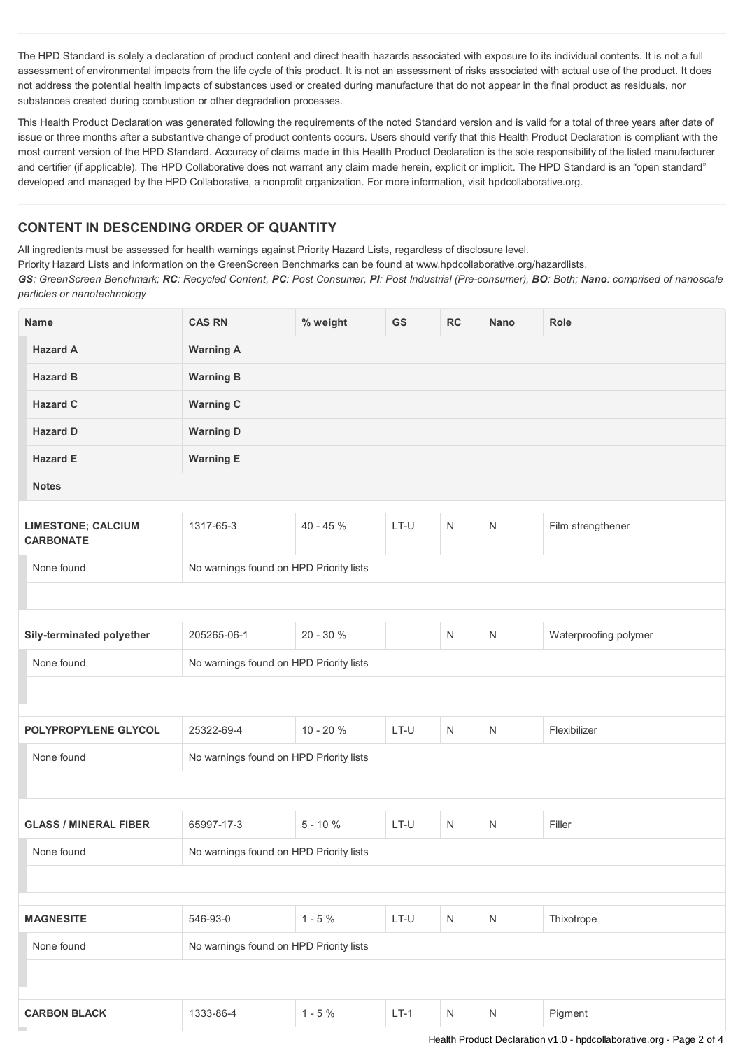The HPD Standard is solely a declaration of product content and direct health hazards associated with exposure to its individual contents. It is not a full assessment of environmental impacts from the life cycle of this product. It is not an assessment of risks associated with actual use of the product. It does not address the potential health impacts of substances used or created during manufacture that do not appear in the final product as residuals, nor substances created during combustion or other degradation processes.

This Health Product Declaration was generated following the requirements of the noted Standard version and is valid for a total of three years after date of issue or three months after a substantive change of product contents occurs. Users should verify that this Health Product Declaration is compliant with the most current version of the HPD Standard. Accuracy of claims made in this Health Product Declaration is the sole responsibility of the listed manufacturer and certifier (if applicable). The HPD Collaborative does not warrant any claim made herein, explicit or implicit. The HPD Standard is an "open standard" developed and managed by the HPD Collaborative, a nonprofit organization. For more information, visit hpdcollaborative.org.

# **CONTENT IN DESCENDING ORDER OF QUANTITY**

All ingredients must be assessed for health warnings against Priority Hazard Lists, regardless of disclosure level.

Priority Hazard Lists and information on the GreenScreen Benchmarks can be found at www.hpdcollaborative.org/hazardlists.

GS: GreenScreen Benchmark; RC: Recycled Content, PC: Post Consumer, PI: Post Industrial (Pre-consumer), BO: Both; Nano: comprised of nanoscale *particles or nanotechnology*

| <b>Name</b>                                   | <b>CAS RN</b>                           | % weight   | GS     | RC           | <b>Nano</b>  | Role                  |
|-----------------------------------------------|-----------------------------------------|------------|--------|--------------|--------------|-----------------------|
| <b>Hazard A</b>                               | <b>Warning A</b>                        |            |        |              |              |                       |
| <b>Hazard B</b>                               | <b>Warning B</b>                        |            |        |              |              |                       |
| <b>Hazard C</b>                               | <b>Warning C</b>                        |            |        |              |              |                       |
| <b>Hazard D</b>                               | <b>Warning D</b>                        |            |        |              |              |                       |
| <b>Hazard E</b>                               | <b>Warning E</b>                        |            |        |              |              |                       |
| <b>Notes</b>                                  |                                         |            |        |              |              |                       |
|                                               |                                         |            |        |              |              |                       |
| <b>LIMESTONE; CALCIUM</b><br><b>CARBONATE</b> | 1317-65-3                               | $40 - 45%$ | LT-U   | $\mathsf{N}$ | N            | Film strengthener     |
| None found                                    | No warnings found on HPD Priority lists |            |        |              |              |                       |
|                                               |                                         |            |        |              |              |                       |
|                                               |                                         |            |        |              |              |                       |
| Sily-terminated polyether                     | 205265-06-1                             | 20 - 30 %  |        | $\mathsf{N}$ | N            | Waterproofing polymer |
| None found                                    | No warnings found on HPD Priority lists |            |        |              |              |                       |
|                                               |                                         |            |        |              |              |                       |
| POLYPROPYLENE GLYCOL                          | 25322-69-4                              | 10 - 20 %  | LT-U   | $\mathsf{N}$ | N            | Flexibilizer          |
| None found                                    | No warnings found on HPD Priority lists |            |        |              |              |                       |
|                                               |                                         |            |        |              |              |                       |
| <b>GLASS / MINERAL FIBER</b>                  | 65997-17-3                              | $5 - 10 %$ | LT-U   | $\mathsf{N}$ | N            | Filler                |
| None found                                    |                                         |            |        |              |              |                       |
| No warnings found on HPD Priority lists       |                                         |            |        |              |              |                       |
|                                               |                                         |            |        |              |              |                       |
| <b>MAGNESITE</b>                              | 546-93-0                                | $1 - 5 \%$ | LT-U   | ${\sf N}$    | $\mathsf{N}$ | Thixotrope            |
| None found                                    | No warnings found on HPD Priority lists |            |        |              |              |                       |
|                                               |                                         |            |        |              |              |                       |
|                                               |                                         |            |        |              |              |                       |
| <b>CARBON BLACK</b>                           | 1333-86-4                               | $1 - 5 %$  | $LT-1$ | ${\sf N}$    | N            | Pigment               |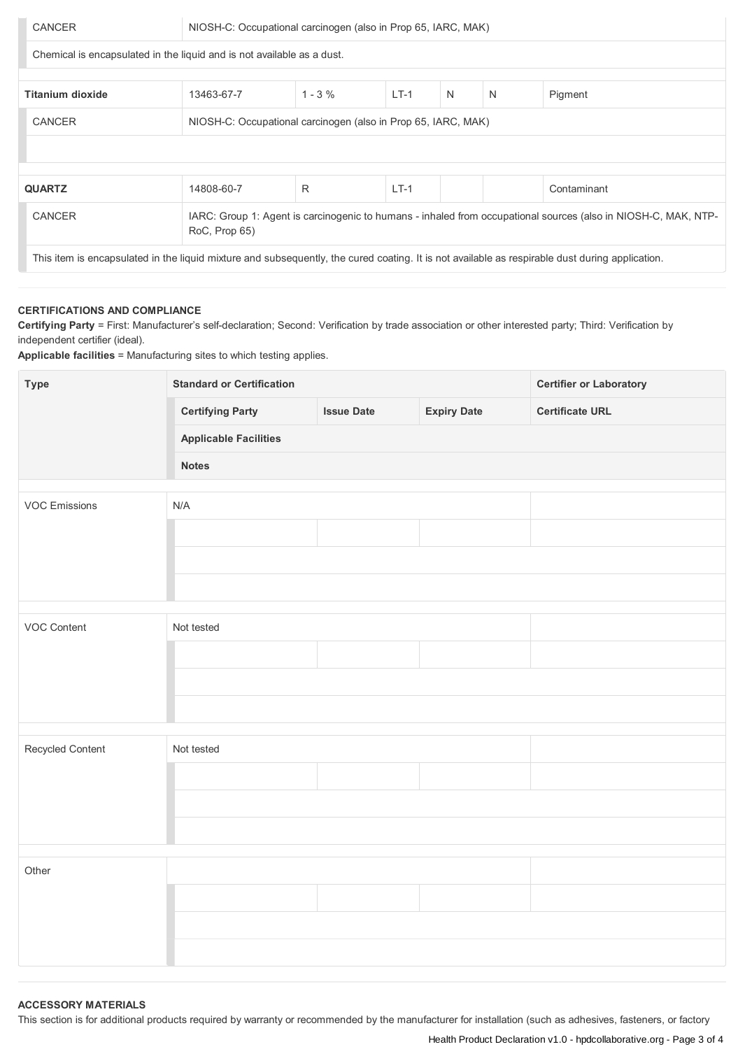| CANCER                                                                                                                                          | NIOSH-C: Occupational carcinogen (also in Prop 65, IARC, MAK) |            |        |   |   |             |
|-------------------------------------------------------------------------------------------------------------------------------------------------|---------------------------------------------------------------|------------|--------|---|---|-------------|
| Chemical is encapsulated in the liquid and is not available as a dust.                                                                          |                                                               |            |        |   |   |             |
|                                                                                                                                                 |                                                               |            |        |   |   |             |
| <b>Titanium dioxide</b>                                                                                                                         | 13463-67-7                                                    | $1 - 3 \%$ | $LT-1$ | N | N | Pigment     |
| CANCER                                                                                                                                          | NIOSH-C: Occupational carcinogen (also in Prop 65, IARC, MAK) |            |        |   |   |             |
|                                                                                                                                                 |                                                               |            |        |   |   |             |
|                                                                                                                                                 |                                                               |            |        |   |   |             |
| <b>QUARTZ</b>                                                                                                                                   | 14808-60-7                                                    | R          | $LT-1$ |   |   | Contaminant |
| CANCER<br>IARC: Group 1: Agent is carcinogenic to humans - inhaled from occupational sources (also in NIOSH-C, MAK, NTP-<br>RoC, Prop 65)       |                                                               |            |        |   |   |             |
| This item is encapsulated in the liquid mixture and subsequently, the cured coating. It is not available as respirable dust during application. |                                                               |            |        |   |   |             |

## **CERTIFICATIONS AND COMPLIANCE**

**Certifying Party** = First: Manufacturer's self-declaration; Second: Verification by trade association or other interested party; Third: Verification by independent certifier (ideal).

**Applicable facilities** = Manufacturing sites to which testing applies.

| <b>Type</b>          | <b>Standard or Certification</b> | <b>Certifier or Laboratory</b> |                    |                        |  |  |  |
|----------------------|----------------------------------|--------------------------------|--------------------|------------------------|--|--|--|
|                      | <b>Certifying Party</b>          | <b>Issue Date</b>              | <b>Expiry Date</b> | <b>Certificate URL</b> |  |  |  |
|                      | <b>Applicable Facilities</b>     |                                |                    |                        |  |  |  |
|                      | <b>Notes</b>                     |                                |                    |                        |  |  |  |
| <b>VOC Emissions</b> | N/A                              |                                |                    |                        |  |  |  |
|                      |                                  |                                |                    |                        |  |  |  |
|                      |                                  |                                |                    |                        |  |  |  |
|                      |                                  |                                |                    |                        |  |  |  |
| VOC Content          | Not tested                       |                                |                    |                        |  |  |  |
|                      |                                  |                                |                    |                        |  |  |  |
|                      |                                  |                                |                    |                        |  |  |  |
|                      |                                  |                                |                    |                        |  |  |  |
|                      | Not tested                       |                                |                    |                        |  |  |  |
| Recycled Content     |                                  |                                |                    |                        |  |  |  |
|                      |                                  |                                |                    |                        |  |  |  |
|                      |                                  |                                |                    |                        |  |  |  |
|                      |                                  |                                |                    |                        |  |  |  |
| Other                |                                  |                                |                    |                        |  |  |  |
|                      |                                  |                                |                    |                        |  |  |  |
|                      |                                  |                                |                    |                        |  |  |  |
|                      |                                  |                                |                    |                        |  |  |  |

#### **ACCESSORY MATERIALS**

This section is for additional products required by warranty or recommended by the manufacturer for installation (such as adhesives, fasteners, or factory